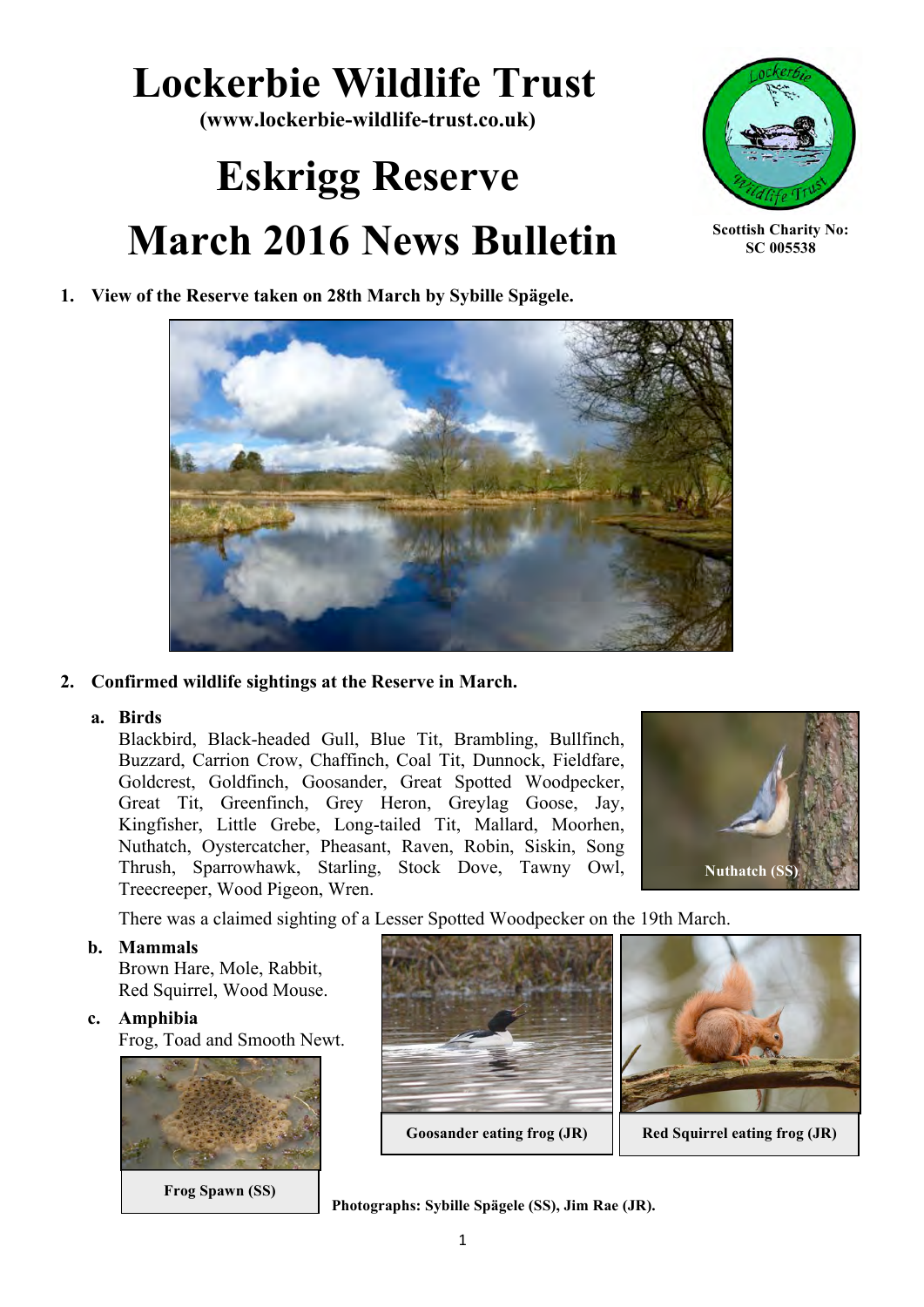# **Lockerbie Wildlife Trust**

**(www.lockerbie-wildlife-trust.co.uk)**

# **Eskrigg Reserve March 2016 News Bulletin**



**Scottish Charity No: SC 005538**

# **1. View of the Reserve taken on 28th March by Sybille Spägele.**



# **2. Confirmed wildlife sightings at the Reserve in March.**

## **a. Birds**

Blackbird, Black-headed Gull, Blue Tit, Brambling, Bullfinch, Buzzard, Carrion Crow, Chaffinch, Coal Tit, Dunnock, Fieldfare, Goldcrest, Goldfinch, Goosander, Great Spotted Woodpecker, Great Tit, Greenfinch, Grey Heron, Greylag Goose, Jay, Kingfisher, Little Grebe, Long-tailed Tit, Mallard, Moorhen, Nuthatch, Oystercatcher, Pheasant, Raven, Robin, Siskin, Song Thrush, Sparrowhawk, Starling, Stock Dove, Tawny Owl, Treecreeper, Wood Pigeon, Wren.



There was a claimed sighting of a Lesser Spotted Woodpecker on the 19th March.

#### **b. Mammals**

Brown Hare, Mole, Rabbit, Red Squirrel, Wood Mouse.

#### **c. Amphibia**

Frog, Toad and Smooth Newt.



**Frog Spawn (SS)**



**Photographs: Sybille Spägele (SS), Jim Rae (JR).**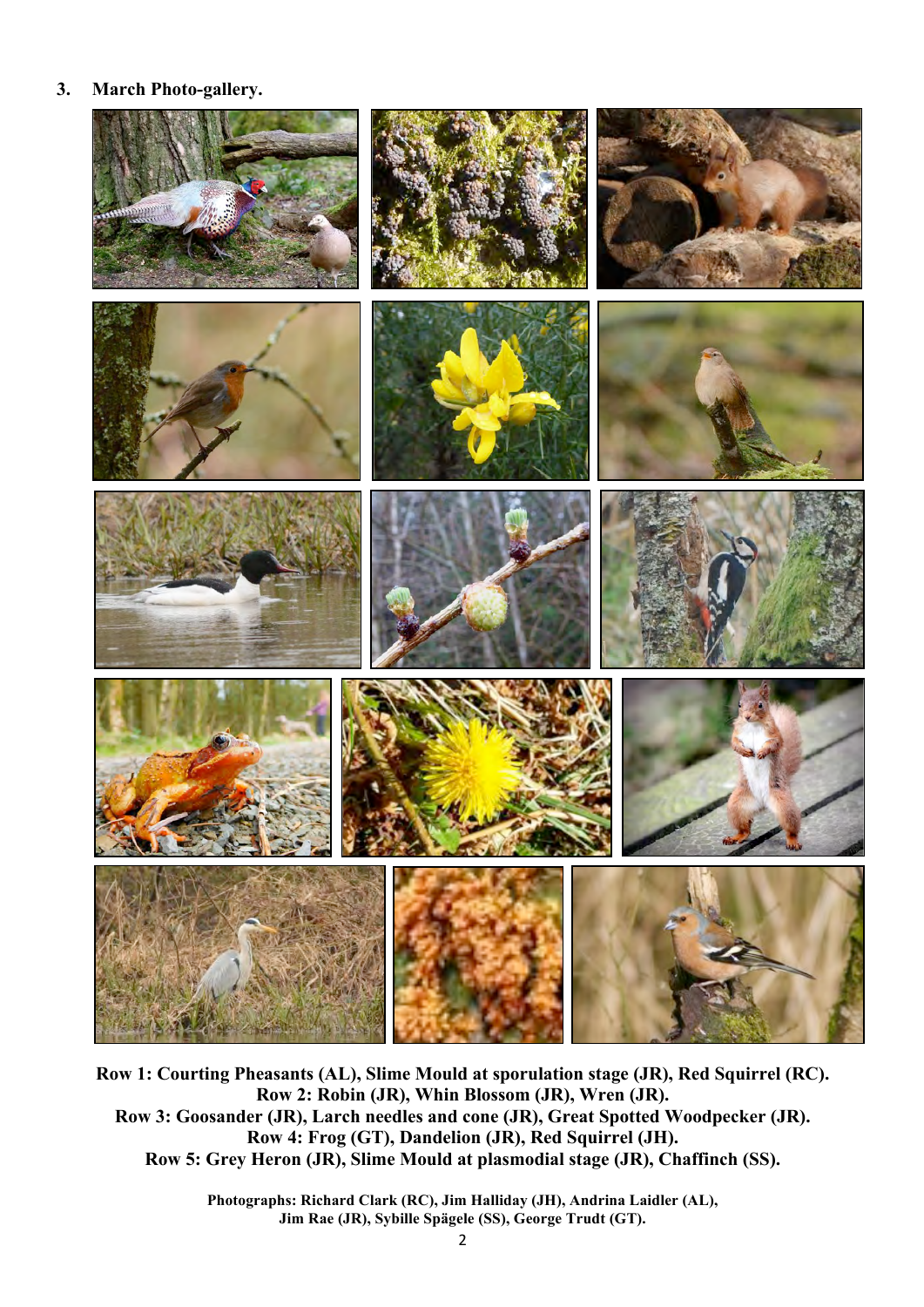#### **3. March Photo-gallery.**



**Row 1: Courting Pheasants (AL), Slime Mould at sporulation stage (JR), Red Squirrel (RC). Row 2: Robin (JR), Whin Blossom (JR), Wren (JR). Row 3: Goosander (JR), Larch needles and cone (JR), Great Spotted Woodpecker (JR). Row 4: Frog (GT), Dandelion (JR), Red Squirrel (JH). Row 5: Grey Heron (JR), Slime Mould at plasmodial stage (JR), Chaffinch (SS).**

> **Photographs: Richard Clark (RC), Jim Halliday (JH), Andrina Laidler (AL), Jim Rae (JR), Sybille Spägele (SS), George Trudt (GT).**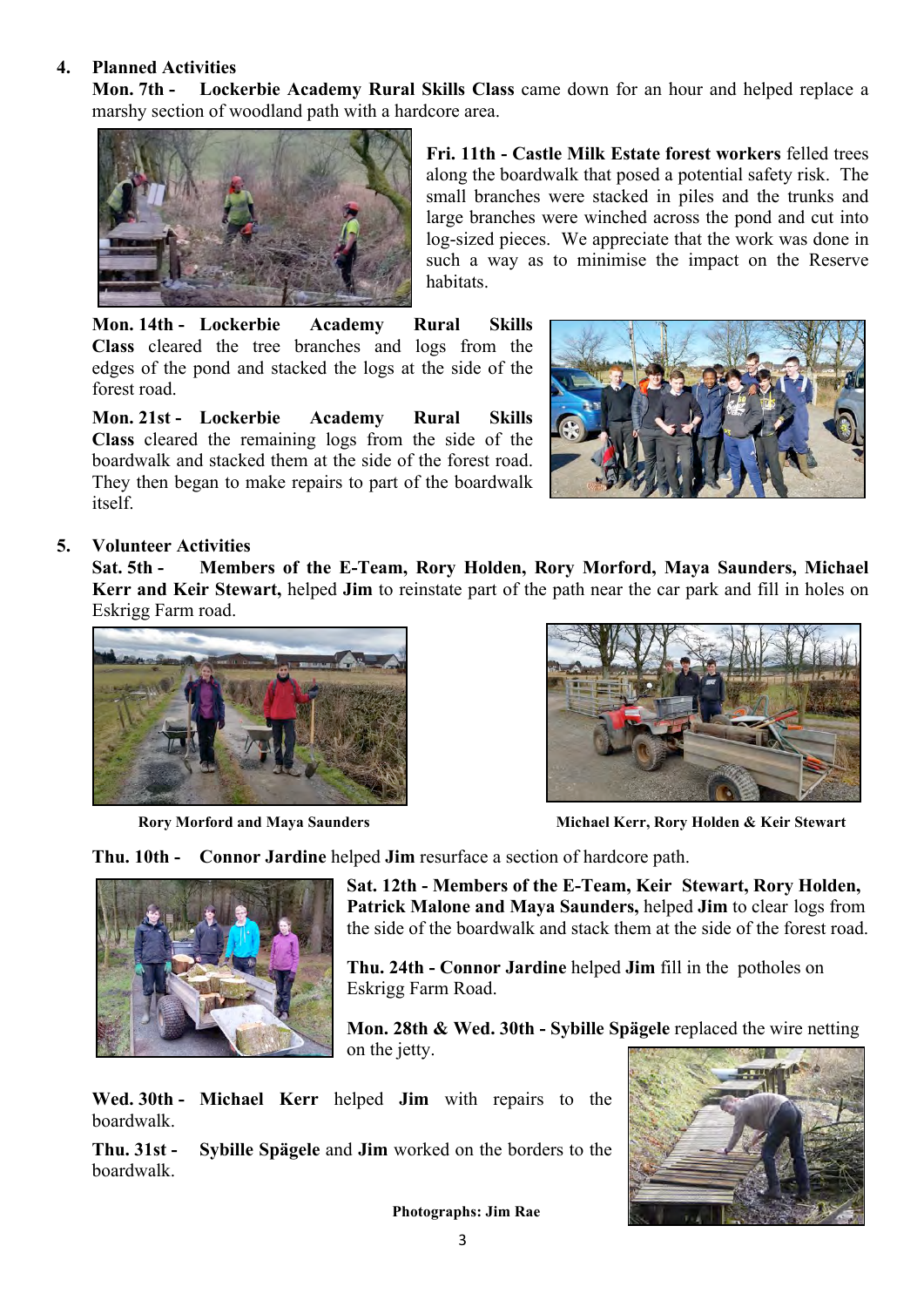#### **4. Planned Activities**

**Mon. 7th - Lockerbie Academy Rural Skills Class** came down for an hour and helped replace a marshy section of woodland path with a hardcore area.



**Fri. 11th - Castle Milk Estate forest workers** felled trees along the boardwalk that posed a potential safety risk. The small branches were stacked in piles and the trunks and large branches were winched across the pond and cut into log-sized pieces. We appreciate that the work was done in such a way as to minimise the impact on the Reserve habitats.

**Mon. 14th - Lockerbie Academy Rural Skills Class** cleared the tree branches and logs from the edges of the pond and stacked the logs at the side of the forest road.

**Mon. 21st - Lockerbie Academy Rural Skills Class** cleared the remaining logs from the side of the boardwalk and stacked them at the side of the forest road. They then began to make repairs to part of the boardwalk itself.



## **5. Volunteer Activities**

**Sat. 5th - Members of the E-Team, Rory Holden, Rory Morford, Maya Saunders, Michael Kerr and Keir Stewart,** helped **Jim** to reinstate part of the path near the car park and fill in holes on Eskrigg Farm road.





**Rory Morford and Maya Saunders Michael Kerr, Rory Holden & Keir Stewart** 

**Thu. 10th - Connor Jardine** helped **Jim** resurface a section of hardcore path.



**Sat. 12th - Members of the E-Team, Keir Stewart, Rory Holden, Patrick Malone and Maya Saunders,** helped **Jim** to clear logs from the side of the boardwalk and stack them at the side of the forest road.

**Thu. 24th - Connor Jardine** helped **Jim** fill in the potholes on Eskrigg Farm Road.

**Mon. 28th & Wed. 30th - Sybille Spägele** replaced the wire netting on the jetty.

**Wed. 30th - Michael Kerr** helped **Jim** with repairs to the boardwalk.

**Thu. 31st - Sybille Spägele** and **Jim** worked on the borders to the boardwalk.



 **Photographs: Jim Rae**